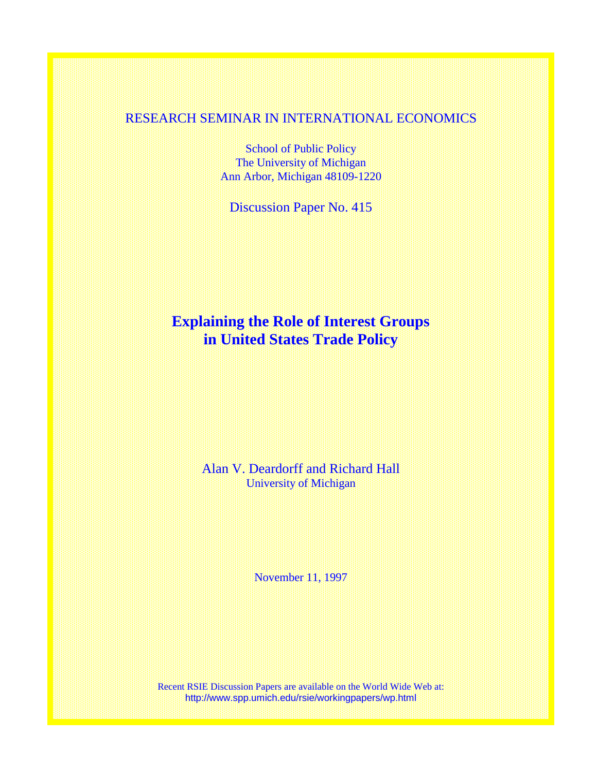### RESEARCH SEMINAR IN INTERNATIONAL ECONOMICS

School of Public Policy The University of Michigan Ann Arbor, Michigan 48109-1220

Discussion Paper No. 415

# **Explaining the Role of Interest Groups in United States Trade Policy**

Alan V. Deardorff and Richard Hall University of Michigan

November 11, 1997

Recent RSIE Discussion Papers are available on the World Wide Web at: http://www.spp.umich.edu/rsie/workingpapers/wp.html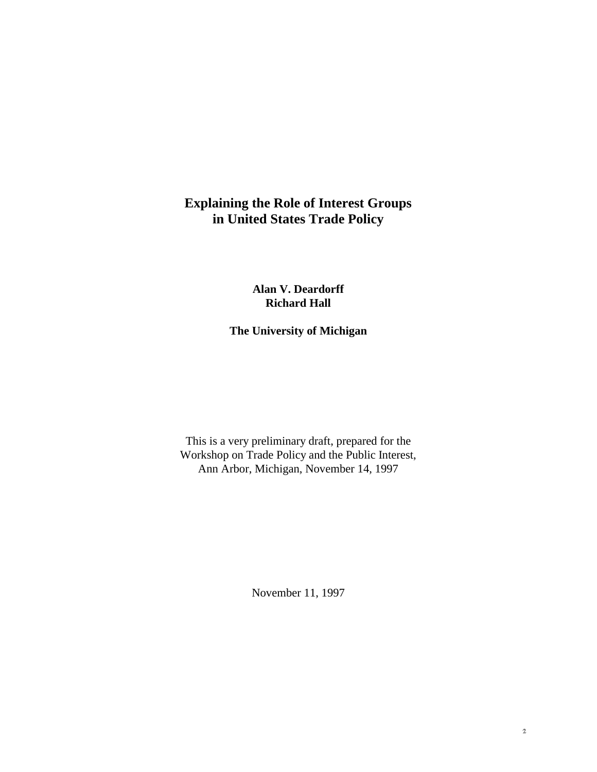## **Explaining the Role of Interest Groups in United States Trade Policy**

**Alan V. Deardorff Richard Hall**

**The University of Michigan**

This is a very preliminary draft, prepared for the Workshop on Trade Policy and the Public Interest, Ann Arbor, Michigan, November 14, 1997

November 11, 1997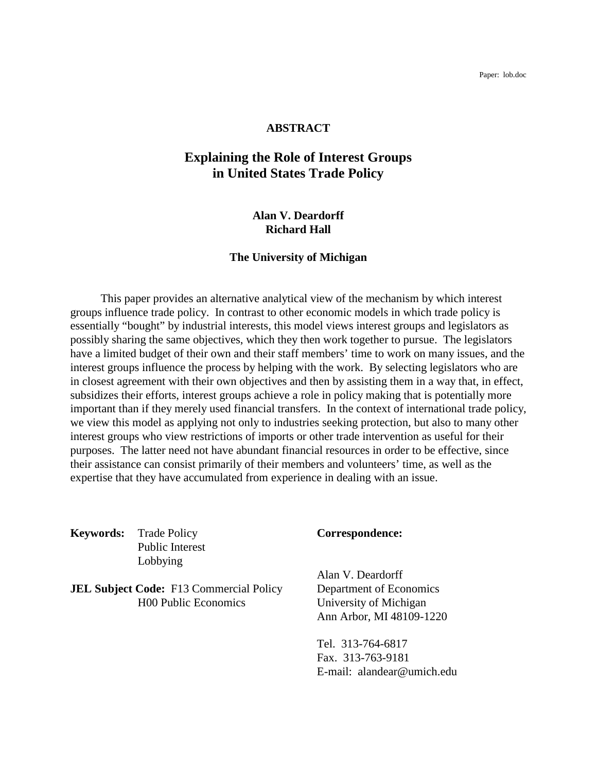#### **ABSTRACT**

## **Explaining the Role of Interest Groups in United States Trade Policy**

#### **Alan V. Deardorff Richard Hall**

#### **The University of Michigan**

This paper provides an alternative analytical view of the mechanism by which interest groups influence trade policy. In contrast to other economic models in which trade policy is essentially "bought" by industrial interests, this model views interest groups and legislators as possibly sharing the same objectives, which they then work together to pursue. The legislators have a limited budget of their own and their staff members' time to work on many issues, and the interest groups influence the process by helping with the work. By selecting legislators who are in closest agreement with their own objectives and then by assisting them in a way that, in effect, subsidizes their efforts, interest groups achieve a role in policy making that is potentially more important than if they merely used financial transfers. In the context of international trade policy, we view this model as applying not only to industries seeking protection, but also to many other interest groups who view restrictions of imports or other trade intervention as useful for their purposes. The latter need not have abundant financial resources in order to be effective, since their assistance can consist primarily of their members and volunteers' time, as well as the expertise that they have accumulated from experience in dealing with an issue.

**Keywords:** Trade Policy **Correspondence:** Public Interest Lobbying

**JEL Subject Code:** F13 Commercial Policy Department of Economics<br>
H00 Public Economics University of Michigan

Alan V. Deardorff University of Michigan Ann Arbor, MI 48109-1220

Tel. 313-764-6817 Fax. 313-763-9181 E-mail: alandear@umich.edu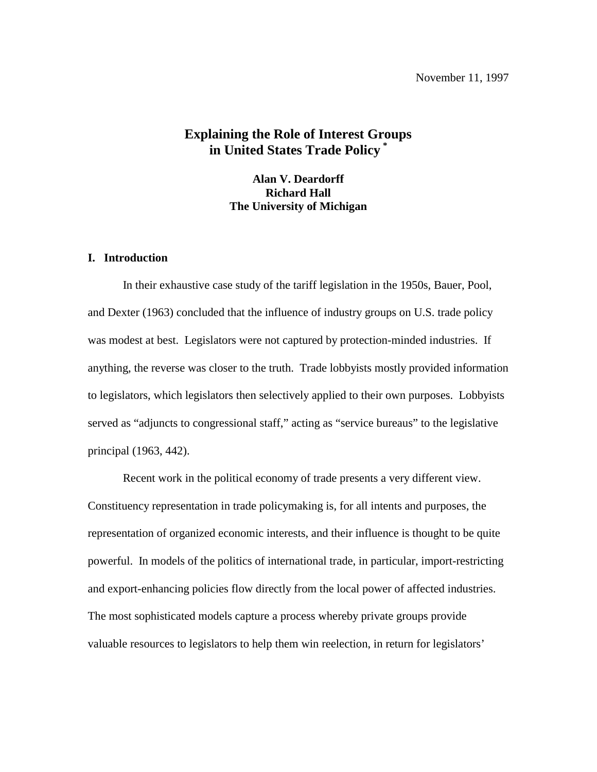## **Explaining the Role of Interest Groups in United States Trade Policy \***

**Alan V. Deardorff Richard Hall The University of Michigan**

#### **I. Introduction**

In their exhaustive case study of the tariff legislation in the 1950s, Bauer, Pool, and Dexter (1963) concluded that the influence of industry groups on U.S. trade policy was modest at best. Legislators were not captured by protection-minded industries. If anything, the reverse was closer to the truth. Trade lobbyists mostly provided information to legislators, which legislators then selectively applied to their own purposes. Lobbyists served as "adjuncts to congressional staff," acting as "service bureaus" to the legislative principal (1963, 442).

Recent work in the political economy of trade presents a very different view. Constituency representation in trade policymaking is, for all intents and purposes, the representation of organized economic interests, and their influence is thought to be quite powerful. In models of the politics of international trade, in particular, import-restricting and export-enhancing policies flow directly from the local power of affected industries. The most sophisticated models capture a process whereby private groups provide valuable resources to legislators to help them win reelection, in return for legislators'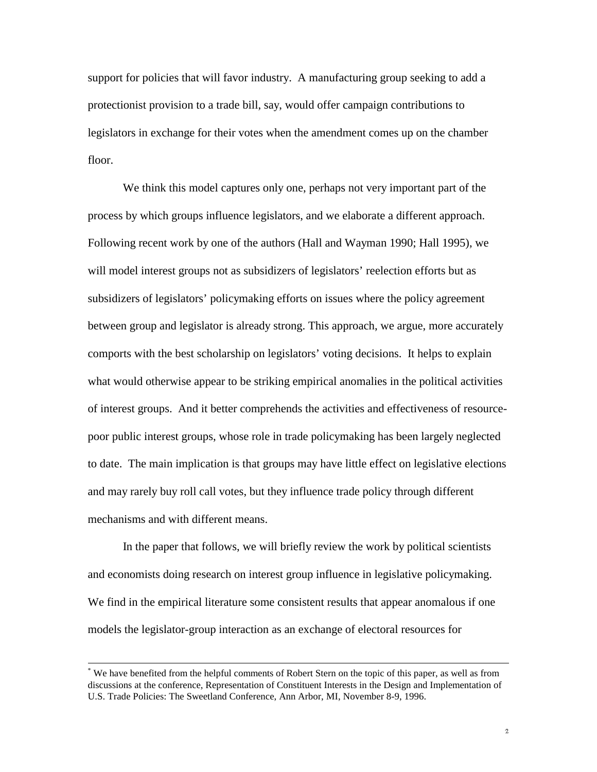support for policies that will favor industry. A manufacturing group seeking to add a protectionist provision to a trade bill, say, would offer campaign contributions to legislators in exchange for their votes when the amendment comes up on the chamber floor.

We think this model captures only one, perhaps not very important part of the process by which groups influence legislators, and we elaborate a different approach. Following recent work by one of the authors (Hall and Wayman 1990; Hall 1995), we will model interest groups not as subsidizers of legislators' reelection efforts but as subsidizers of legislators' policymaking efforts on issues where the policy agreement between group and legislator is already strong. This approach, we argue, more accurately comports with the best scholarship on legislators' voting decisions. It helps to explain what would otherwise appear to be striking empirical anomalies in the political activities of interest groups. And it better comprehends the activities and effectiveness of resourcepoor public interest groups, whose role in trade policymaking has been largely neglected to date. The main implication is that groups may have little effect on legislative elections and may rarely buy roll call votes, but they influence trade policy through different mechanisms and with different means.

In the paper that follows, we will briefly review the work by political scientists and economists doing research on interest group influence in legislative policymaking. We find in the empirical literature some consistent results that appear anomalous if one models the legislator-group interaction as an exchange of electoral resources for

 <sup>\*</sup> We have benefited from the helpful comments of Robert Stern on the topic of this paper, as well as from discussions at the conference, Representation of Constituent Interests in the Design and Implementation of U.S. Trade Policies: The Sweetland Conference, Ann Arbor, MI, November 8-9, 1996.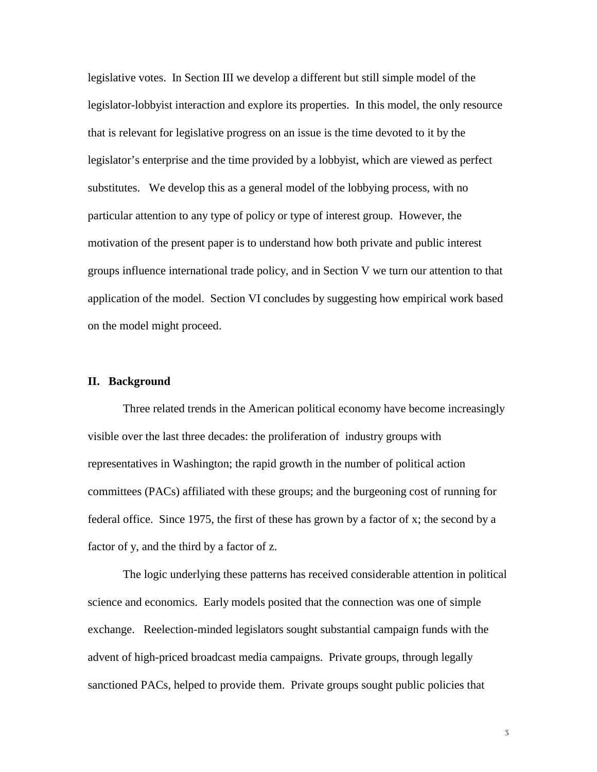legislative votes. In Section III we develop a different but still simple model of the legislator-lobbyist interaction and explore its properties. In this model, the only resource that is relevant for legislative progress on an issue is the time devoted to it by the legislator's enterprise and the time provided by a lobbyist, which are viewed as perfect substitutes. We develop this as a general model of the lobbying process, with no particular attention to any type of policy or type of interest group. However, the motivation of the present paper is to understand how both private and public interest groups influence international trade policy, and in Section V we turn our attention to that application of the model. Section VI concludes by suggesting how empirical work based on the model might proceed.

#### **II. Background**

Three related trends in the American political economy have become increasingly visible over the last three decades: the proliferation of industry groups with representatives in Washington; the rapid growth in the number of political action committees (PACs) affiliated with these groups; and the burgeoning cost of running for federal office. Since 1975, the first of these has grown by a factor of x; the second by a factor of y, and the third by a factor of z.

The logic underlying these patterns has received considerable attention in political science and economics. Early models posited that the connection was one of simple exchange. Reelection-minded legislators sought substantial campaign funds with the advent of high-priced broadcast media campaigns. Private groups, through legally sanctioned PACs, helped to provide them. Private groups sought public policies that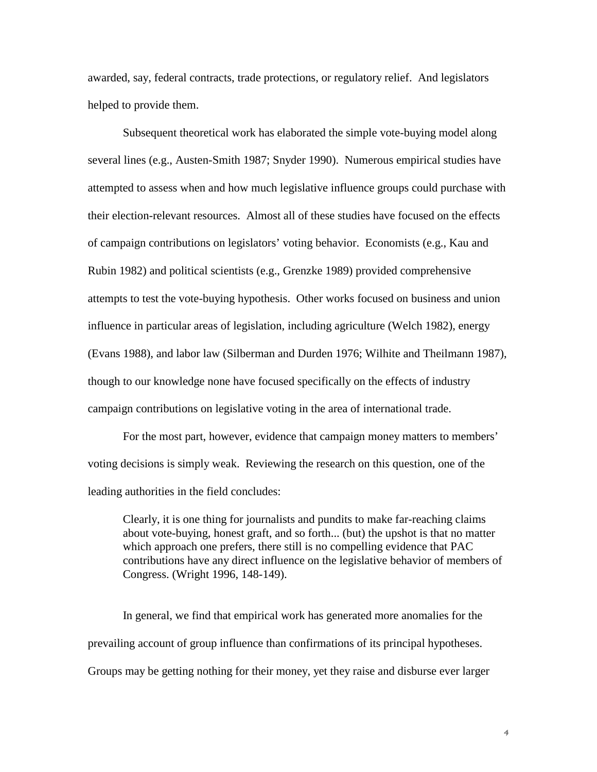awarded, say, federal contracts, trade protections, or regulatory relief. And legislators helped to provide them.

Subsequent theoretical work has elaborated the simple vote-buying model along several lines (e.g., Austen-Smith 1987; Snyder 1990). Numerous empirical studies have attempted to assess when and how much legislative influence groups could purchase with their election-relevant resources. Almost all of these studies have focused on the effects of campaign contributions on legislators' voting behavior. Economists (e.g., Kau and Rubin 1982) and political scientists (e.g., Grenzke 1989) provided comprehensive attempts to test the vote-buying hypothesis. Other works focused on business and union influence in particular areas of legislation, including agriculture (Welch 1982), energy (Evans 1988), and labor law (Silberman and Durden 1976; Wilhite and Theilmann 1987), though to our knowledge none have focused specifically on the effects of industry campaign contributions on legislative voting in the area of international trade.

For the most part, however, evidence that campaign money matters to members' voting decisions is simply weak. Reviewing the research on this question, one of the leading authorities in the field concludes:

Clearly, it is one thing for journalists and pundits to make far-reaching claims about vote-buying, honest graft, and so forth... (but) the upshot is that no matter which approach one prefers, there still is no compelling evidence that PAC contributions have any direct influence on the legislative behavior of members of Congress. (Wright 1996, 148-149).

In general, we find that empirical work has generated more anomalies for the prevailing account of group influence than confirmations of its principal hypotheses. Groups may be getting nothing for their money, yet they raise and disburse ever larger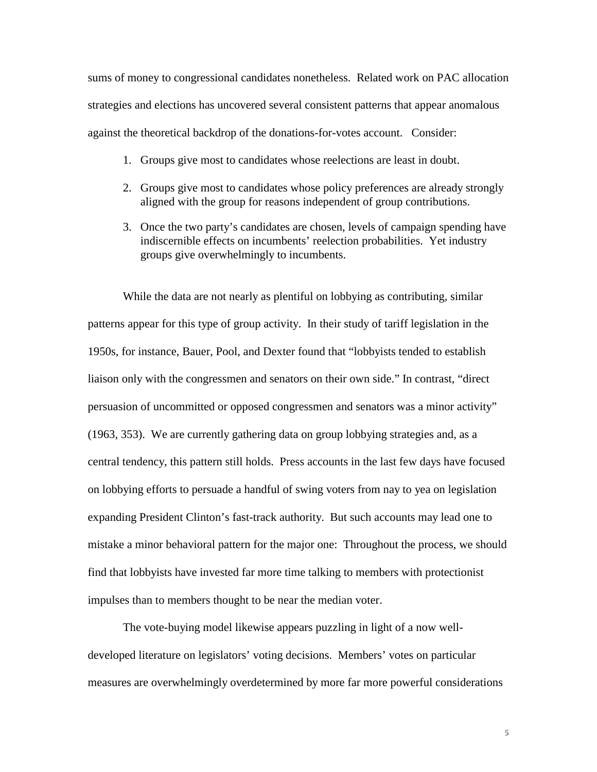sums of money to congressional candidates nonetheless. Related work on PAC allocation strategies and elections has uncovered several consistent patterns that appear anomalous against the theoretical backdrop of the donations-for-votes account. Consider:

- 1. Groups give most to candidates whose reelections are least in doubt.
- 2. Groups give most to candidates whose policy preferences are already strongly aligned with the group for reasons independent of group contributions.
- 3. Once the two party's candidates are chosen, levels of campaign spending have indiscernible effects on incumbents' reelection probabilities. Yet industry groups give overwhelmingly to incumbents.

While the data are not nearly as plentiful on lobbying as contributing, similar patterns appear for this type of group activity. In their study of tariff legislation in the 1950s, for instance, Bauer, Pool, and Dexter found that "lobbyists tended to establish liaison only with the congressmen and senators on their own side." In contrast, "direct persuasion of uncommitted or opposed congressmen and senators was a minor activity" (1963, 353). We are currently gathering data on group lobbying strategies and, as a central tendency, this pattern still holds. Press accounts in the last few days have focused on lobbying efforts to persuade a handful of swing voters from nay to yea on legislation expanding President Clinton's fast-track authority. But such accounts may lead one to mistake a minor behavioral pattern for the major one: Throughout the process, we should find that lobbyists have invested far more time talking to members with protectionist impulses than to members thought to be near the median voter.

The vote-buying model likewise appears puzzling in light of a now welldeveloped literature on legislators' voting decisions. Members' votes on particular measures are overwhelmingly overdetermined by more far more powerful considerations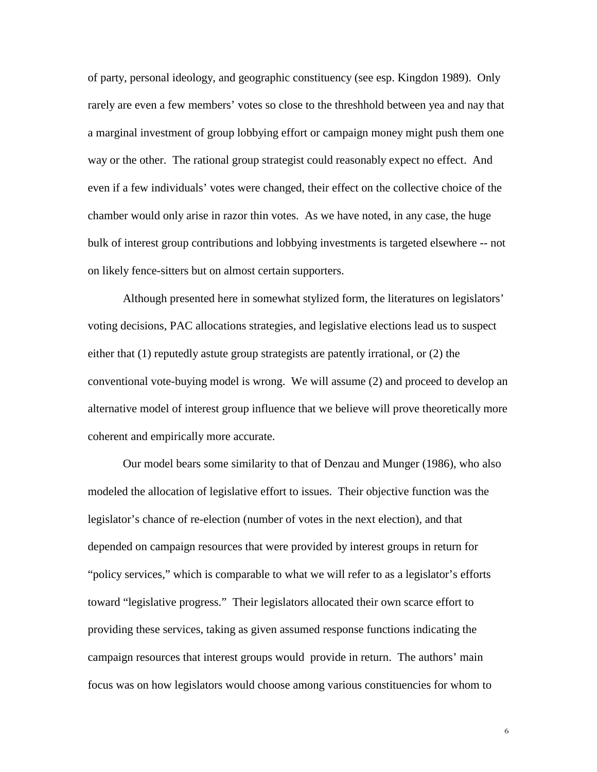of party, personal ideology, and geographic constituency (see esp. Kingdon 1989). Only rarely are even a few members' votes so close to the threshhold between yea and nay that a marginal investment of group lobbying effort or campaign money might push them one way or the other. The rational group strategist could reasonably expect no effect. And even if a few individuals' votes were changed, their effect on the collective choice of the chamber would only arise in razor thin votes. As we have noted, in any case, the huge bulk of interest group contributions and lobbying investments is targeted elsewhere -- not on likely fence-sitters but on almost certain supporters.

Although presented here in somewhat stylized form, the literatures on legislators' voting decisions, PAC allocations strategies, and legislative elections lead us to suspect either that (1) reputedly astute group strategists are patently irrational, or (2) the conventional vote-buying model is wrong. We will assume (2) and proceed to develop an alternative model of interest group influence that we believe will prove theoretically more coherent and empirically more accurate.

Our model bears some similarity to that of Denzau and Munger (1986), who also modeled the allocation of legislative effort to issues. Their objective function was the legislator's chance of re-election (number of votes in the next election), and that depended on campaign resources that were provided by interest groups in return for "policy services," which is comparable to what we will refer to as a legislator's efforts toward "legislative progress." Their legislators allocated their own scarce effort to providing these services, taking as given assumed response functions indicating the campaign resources that interest groups would provide in return. The authors' main focus was on how legislators would choose among various constituencies for whom to

 $\mathbf 6$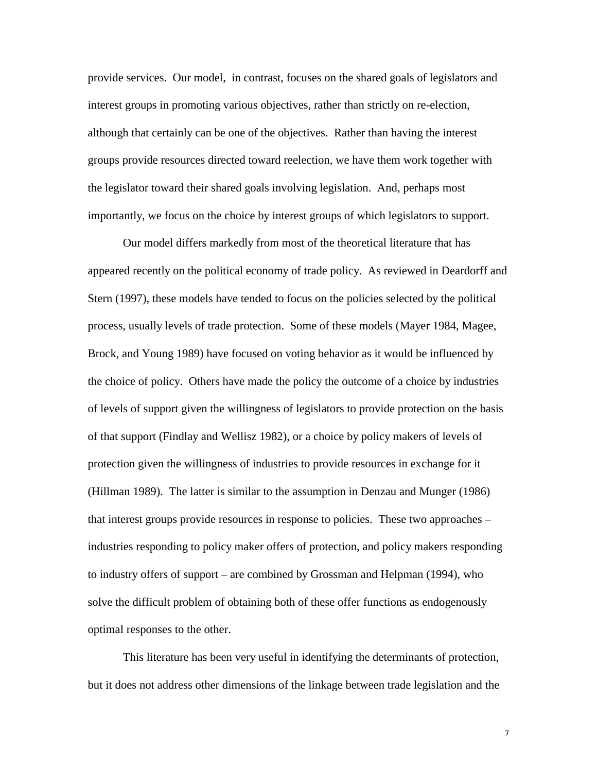provide services. Our model, in contrast, focuses on the shared goals of legislators and interest groups in promoting various objectives, rather than strictly on re-election, although that certainly can be one of the objectives. Rather than having the interest groups provide resources directed toward reelection, we have them work together with the legislator toward their shared goals involving legislation. And, perhaps most importantly, we focus on the choice by interest groups of which legislators to support.

Our model differs markedly from most of the theoretical literature that has appeared recently on the political economy of trade policy. As reviewed in Deardorff and Stern (1997), these models have tended to focus on the policies selected by the political process, usually levels of trade protection. Some of these models (Mayer 1984, Magee, Brock, and Young 1989) have focused on voting behavior as it would be influenced by the choice of policy. Others have made the policy the outcome of a choice by industries of levels of support given the willingness of legislators to provide protection on the basis of that support (Findlay and Wellisz 1982), or a choice by policy makers of levels of protection given the willingness of industries to provide resources in exchange for it (Hillman 1989). The latter is similar to the assumption in Denzau and Munger (1986) that interest groups provide resources in response to policies. These two approaches – industries responding to policy maker offers of protection, and policy makers responding to industry offers of support – are combined by Grossman and Helpman (1994), who solve the difficult problem of obtaining both of these offer functions as endogenously optimal responses to the other.

This literature has been very useful in identifying the determinants of protection, but it does not address other dimensions of the linkage between trade legislation and the

 $\boldsymbol{\gamma}$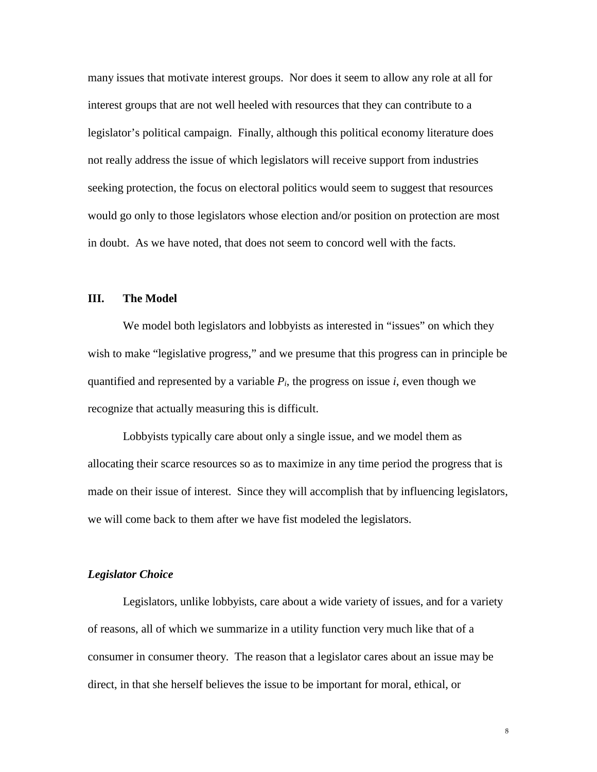many issues that motivate interest groups. Nor does it seem to allow any role at all for interest groups that are not well heeled with resources that they can contribute to a legislator's political campaign. Finally, although this political economy literature does not really address the issue of which legislators will receive support from industries seeking protection, the focus on electoral politics would seem to suggest that resources would go only to those legislators whose election and/or position on protection are most in doubt. As we have noted, that does not seem to concord well with the facts.

#### **III. The Model**

We model both legislators and lobbyists as interested in "issues" on which they wish to make "legislative progress," and we presume that this progress can in principle be quantified and represented by a variable  $P_i$ , the progress on issue  $i$ , even though we recognize that actually measuring this is difficult.

Lobbyists typically care about only a single issue, and we model them as allocating their scarce resources so as to maximize in any time period the progress that is made on their issue of interest. Since they will accomplish that by influencing legislators, we will come back to them after we have fist modeled the legislators.

#### *Legislator Choice*

Legislators, unlike lobbyists, care about a wide variety of issues, and for a variety of reasons, all of which we summarize in a utility function very much like that of a consumer in consumer theory. The reason that a legislator cares about an issue may be direct, in that she herself believes the issue to be important for moral, ethical, or

 $\,$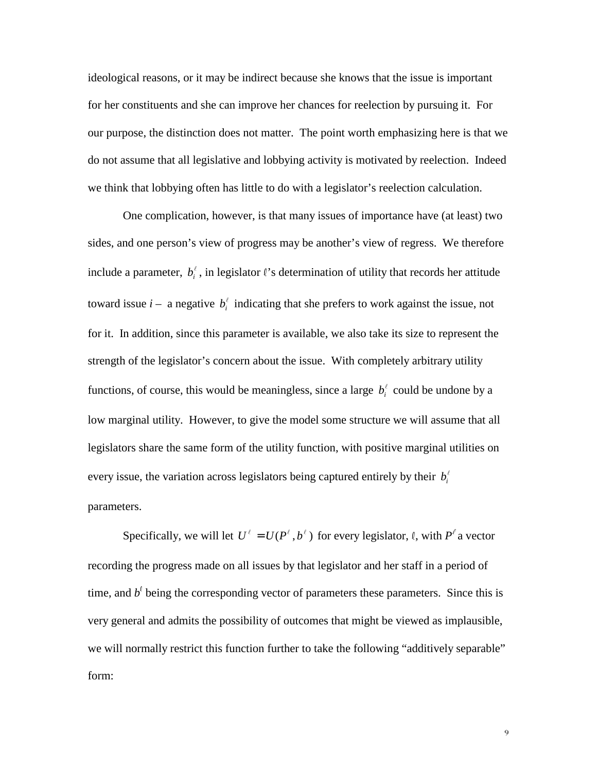ideological reasons, or it may be indirect because she knows that the issue is important for her constituents and she can improve her chances for reelection by pursuing it. For our purpose, the distinction does not matter. The point worth emphasizing here is that we do not assume that all legislative and lobbying activity is motivated by reelection. Indeed we think that lobbying often has little to do with a legislator's reelection calculation.

One complication, however, is that many issues of importance have (at least) two sides, and one person's view of progress may be another's view of regress. We therefore include a parameter,  $b_i^{\ell}$ , in legislator  $\ell$ 's determination of utility that records her attitude toward issue  $i - a$  negative  $b_i^{\ell}$  indicating that she prefers to work against the issue, not for it. In addition, since this parameter is available, we also take its size to represent the strength of the legislator's concern about the issue. With completely arbitrary utility functions, of course, this would be meaningless, since a large  $b_i^{\ell}$  could be undone by a low marginal utility. However, to give the model some structure we will assume that all legislators share the same form of the utility function, with positive marginal utilities on every issue, the variation across legislators being captured entirely by their  $b_i^{\ell}$ parameters.

Specifically, we will let  $U^{\ell} = U(P^{\ell}, b^{\ell})$  for every legislator,  $\ell$ , with  $P^{\ell}$  a vector recording the progress made on all issues by that legislator and her staff in a period of time, and  $b^{\ell}$  being the corresponding vector of parameters these parameters. Since this is very general and admits the possibility of outcomes that might be viewed as implausible, we will normally restrict this function further to take the following "additively separable" form: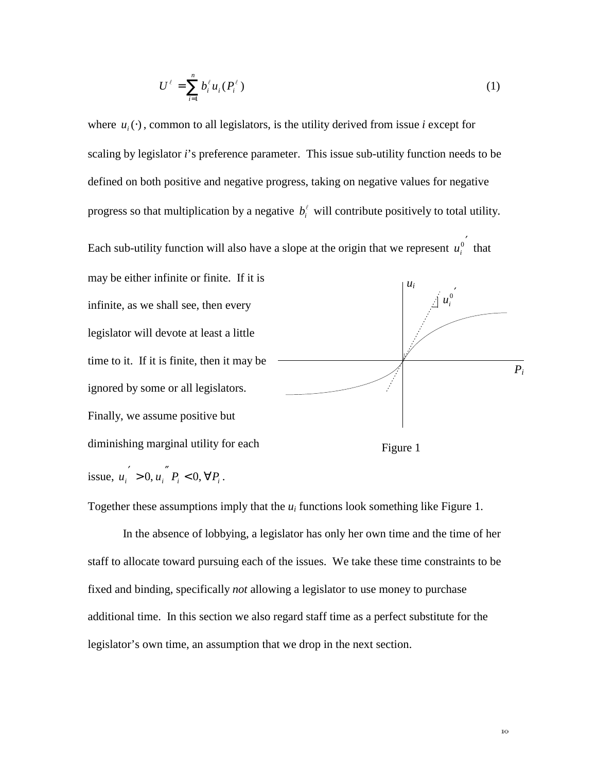$$
U^{\ell} = \sum_{i=1}^{n} b_i^{\ell} u_i (P_i^{\ell})
$$
 (1)

where  $u_i(\cdot)$ , common to all legislators, is the utility derived from issue *i* except for scaling by legislator *i*'s preference parameter. This issue sub-utility function needs to be defined on both positive and negative progress, taking on negative values for negative progress so that multiplication by a negative  $b_i^{\ell}$  will contribute positively to total utility.

Each sub-utility function will also have a slope at the origin that we represent  $u_i^0$  that



Together these assumptions imply that the  $u_i$  functions look something like Figure 1.

In the absence of lobbying, a legislator has only her own time and the time of her staff to allocate toward pursuing each of the issues. We take these time constraints to be fixed and binding, specifically *not* allowing a legislator to use money to purchase additional time. In this section we also regard staff time as a perfect substitute for the legislator's own time, an assumption that we drop in the next section.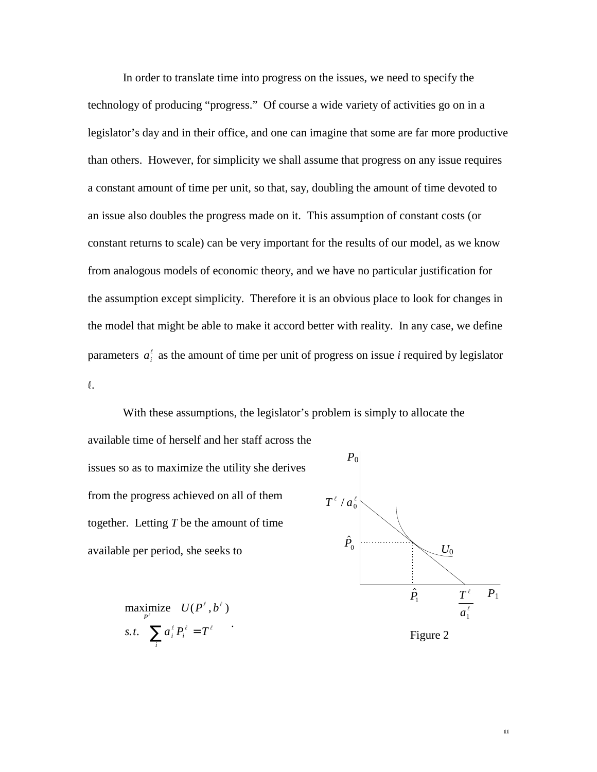In order to translate time into progress on the issues, we need to specify the technology of producing "progress." Of course a wide variety of activities go on in a legislator's day and in their office, and one can imagine that some are far more productive than others. However, for simplicity we shall assume that progress on any issue requires a constant amount of time per unit, so that, say, doubling the amount of time devoted to an issue also doubles the progress made on it. This assumption of constant costs (or constant returns to scale) can be very important for the results of our model, as we know from analogous models of economic theory, and we have no particular justification for the assumption except simplicity. Therefore it is an obvious place to look for changes in the model that might be able to make it accord better with reality. In any case, we define parameters  $a_i^{\ell}$  as the amount of time per unit of progress on issue *i* required by legislator  $\ell.$ 

With these assumptions, the legislator's problem is simply to allocate the available time of herself and her staff across the issues so as to maximize the utility she derives from the progress achieved on all of them together. Letting *T* be the amount of time available per period, she seeks to  $\hat{P}_{\rm 0}$  $T^{\ell}/a_0^{\ell}$ *P*0

$$
\begin{array}{ll}\n\text{maximize} & U(P^\ell, b^\ell) \\
\text{s.t.} & \sum_i a_i^\ell P_i^\ell = T^\ell\n\end{array}
$$



Figure 2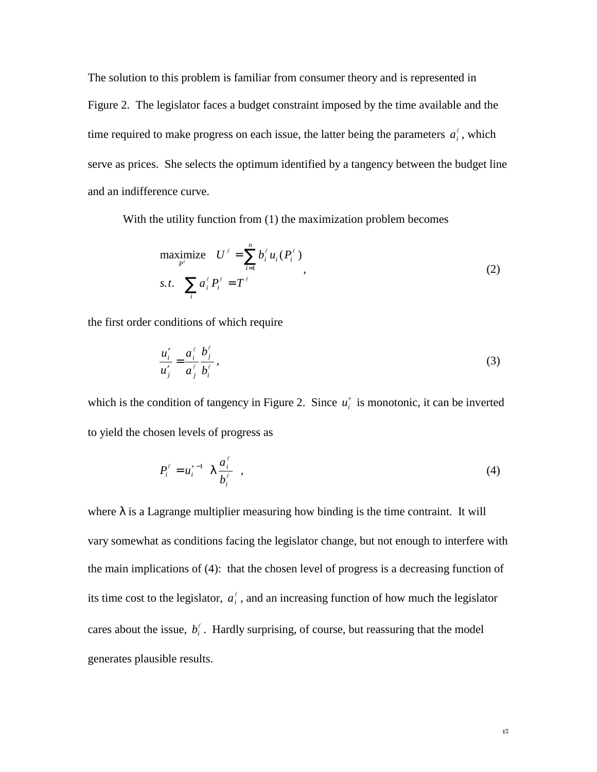The solution to this problem is familiar from consumer theory and is represented in Figure 2. The legislator faces a budget constraint imposed by the time available and the time required to make progress on each issue, the latter being the parameters  $a_i^{\ell}$ , which serve as prices. She selects the optimum identified by a tangency between the budget line and an indifference curve.

With the utility function from (1) the maximization problem becomes

$$
\begin{array}{ll}\n\text{maximize} & U^{\ell} = \sum_{i=1}^{n} b_i^{\ell} u_i(P_i^{\ell}) \\
\text{s.t.} & \sum_i a_i^{\ell} P_i^{\ell} = T^{\ell}\n\end{array} \tag{2}
$$

the first order conditions of which require

$$
\frac{u_i'}{u_j'} = \frac{a_i^{\ell}}{a_j^{\ell}} \frac{b_j^{\ell}}{b_i^{\ell}},
$$
\n(3)

which is the condition of tangency in Figure 2. Since  $u_i'$  is monotonic, it can be inverted to yield the chosen levels of progress as

$$
P_i^{\ell} = u_i^{\ell-1} \left( \lambda \frac{a_i^{\ell}}{b_i^{\ell}} \right), \tag{4}
$$

where  $\lambda$  is a Lagrange multiplier measuring how binding is the time contraint. It will vary somewhat as conditions facing the legislator change, but not enough to interfere with the main implications of (4): that the chosen level of progress is a decreasing function of its time cost to the legislator,  $a_i^{\ell}$ , and an increasing function of how much the legislator cares about the issue,  $b_i^{\ell}$ . Hardly surprising, of course, but reassuring that the model generates plausible results.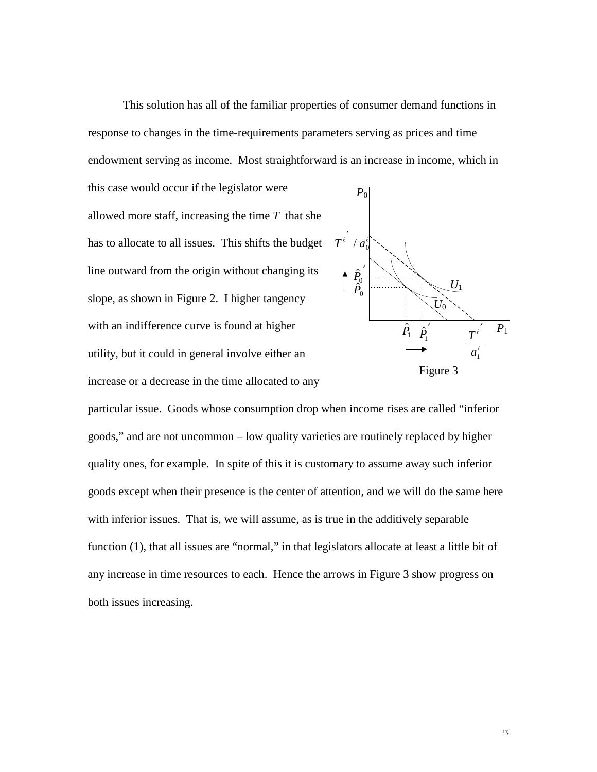This solution has all of the familiar properties of consumer demand functions in response to changes in the time-requirements parameters serving as prices and time endowment serving as income. Most straightforward is an increase in income, which in

this case would occur if the legislator were allowed more staff, increasing the time *T* that she has to allocate to all issues. This shifts the budget line outward from the origin without changing its slope, as shown in Figure 2. I higher tangency with an indifference curve is found at higher utility, but it could in general involve either an increase or a decrease in the time allocated to any



particular issue. Goods whose consumption drop when income rises are called "inferior goods," and are not uncommon – low quality varieties are routinely replaced by higher quality ones, for example. In spite of this it is customary to assume away such inferior goods except when their presence is the center of attention, and we will do the same here with inferior issues. That is, we will assume, as is true in the additively separable function (1), that all issues are "normal," in that legislators allocate at least a little bit of any increase in time resources to each. Hence the arrows in Figure 3 show progress on both issues increasing.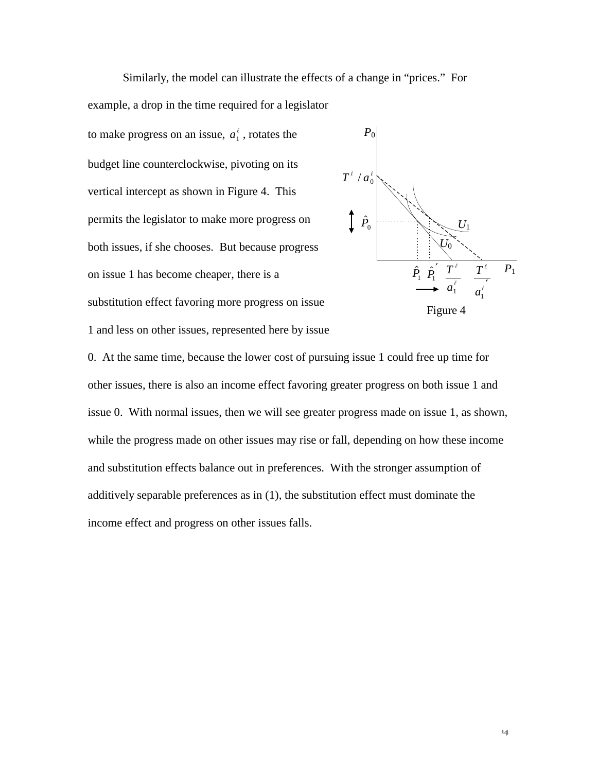Similarly, the model can illustrate the effects of a change in "prices." For example, a drop in the time required for a legislator

to make progress on an issue,  $a_1^{\ell}$ , rotates the budget line counterclockwise, pivoting on its vertical intercept as shown in Figure 4. This permits the legislator to make more progress on both issues, if she chooses. But because progress on issue 1 has become cheaper, there is a substitution effect favoring more progress on issue

1 and less on other issues, represented here by issue



0. At the same time, because the lower cost of pursuing issue 1 could free up time for other issues, there is also an income effect favoring greater progress on both issue 1 and issue 0. With normal issues, then we will see greater progress made on issue 1, as shown, while the progress made on other issues may rise or fall, depending on how these income and substitution effects balance out in preferences. With the stronger assumption of additively separable preferences as in (1), the substitution effect must dominate the income effect and progress on other issues falls.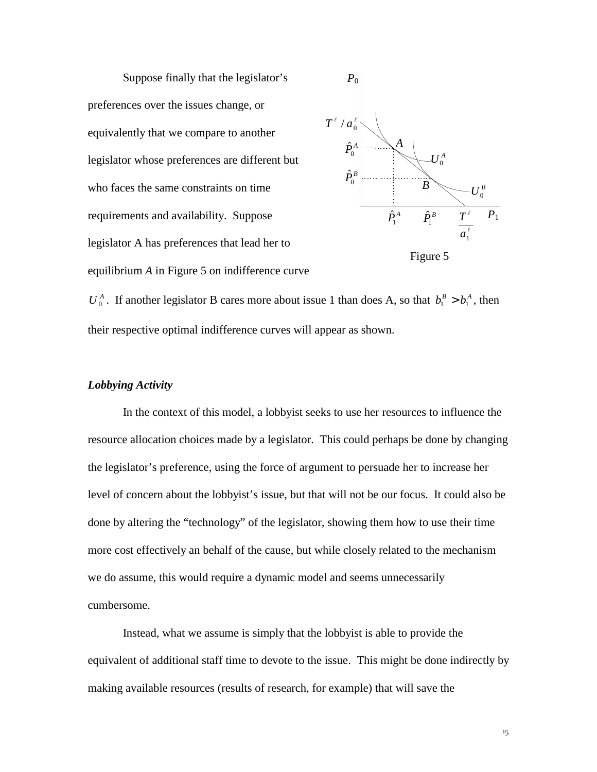

 $U_0^A$ . If another legislator B cares more about issue 1 than does A, so that  $b_1^B > b_1^A$ , then their respective optimal indifference curves will appear as shown.

#### *Lobbying Activity*

In the context of this model, a lobbyist seeks to use her resources to influence the resource allocation choices made by a legislator. This could perhaps be done by changing the legislator's preference, using the force of argument to persuade her to increase her level of concern about the lobbyist's issue, but that will not be our focus. It could also be done by altering the "technology" of the legislator, showing them how to use their time more cost effectively an behalf of the cause, but while closely related to the mechanism we do assume, this would require a dynamic model and seems unnecessarily cumbersome.

Instead, what we assume is simply that the lobbyist is able to provide the equivalent of additional staff time to devote to the issue. This might be done indirectly by making available resources (results of research, for example) that will save the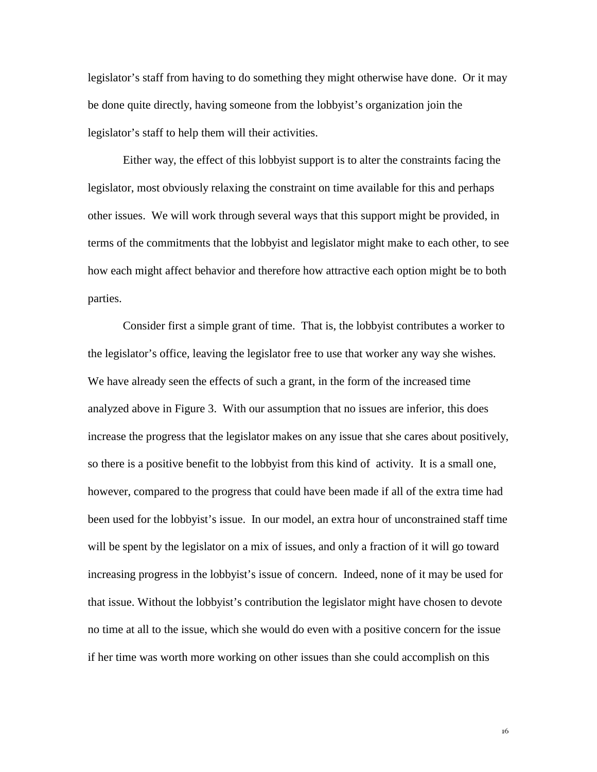legislator's staff from having to do something they might otherwise have done. Or it may be done quite directly, having someone from the lobbyist's organization join the legislator's staff to help them will their activities.

Either way, the effect of this lobbyist support is to alter the constraints facing the legislator, most obviously relaxing the constraint on time available for this and perhaps other issues. We will work through several ways that this support might be provided, in terms of the commitments that the lobbyist and legislator might make to each other, to see how each might affect behavior and therefore how attractive each option might be to both parties.

Consider first a simple grant of time. That is, the lobbyist contributes a worker to the legislator's office, leaving the legislator free to use that worker any way she wishes. We have already seen the effects of such a grant, in the form of the increased time analyzed above in Figure 3. With our assumption that no issues are inferior, this does increase the progress that the legislator makes on any issue that she cares about positively, so there is a positive benefit to the lobbyist from this kind of activity. It is a small one, however, compared to the progress that could have been made if all of the extra time had been used for the lobbyist's issue. In our model, an extra hour of unconstrained staff time will be spent by the legislator on a mix of issues, and only a fraction of it will go toward increasing progress in the lobbyist's issue of concern. Indeed, none of it may be used for that issue. Without the lobbyist's contribution the legislator might have chosen to devote no time at all to the issue, which she would do even with a positive concern for the issue if her time was worth more working on other issues than she could accomplish on this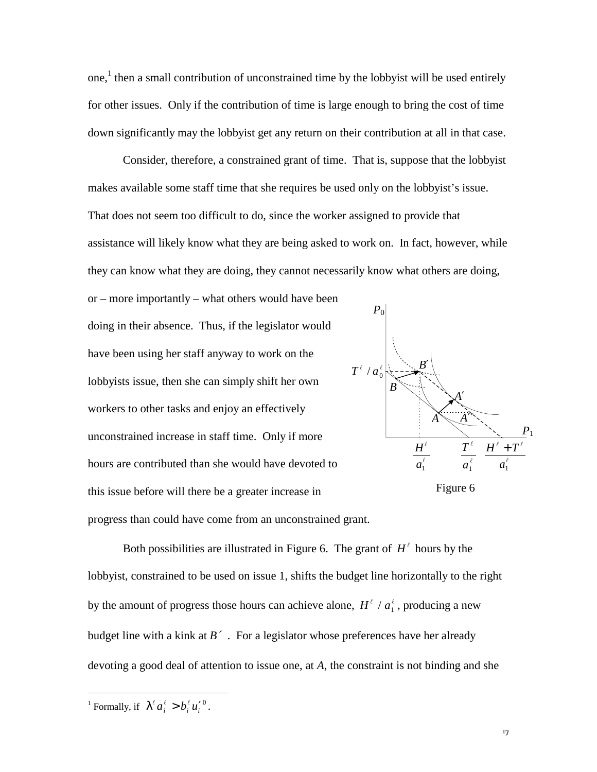one, 1 then a small contribution of unconstrained time by the lobbyist will be used entirely for other issues. Only if the contribution of time is large enough to bring the cost of time down significantly may the lobbyist get any return on their contribution at all in that case.

Consider, therefore, a constrained grant of time. That is, suppose that the lobbyist makes available some staff time that she requires be used only on the lobbyist's issue. That does not seem too difficult to do, since the worker assigned to provide that assistance will likely know what they are being asked to work on. In fact, however, while they can know what they are doing, they cannot necessarily know what others are doing,

or – more importantly – what others would have been doing in their absence. Thus, if the legislator would have been using her staff anyway to work on the lobbyists issue, then she can simply shift her own workers to other tasks and enjoy an effectively unconstrained increase in staff time. Only if more hours are contributed than she would have devoted to this issue before will there be a greater increase in progress than could have come from an unconstrained grant.





Both possibilities are illustrated in Figure 6. The grant of  $H^{\ell}$  hours by the lobbyist, constrained to be used on issue 1, shifts the budget line horizontally to the right by the amount of progress those hours can achieve alone,  $H^{\ell} / a_1^{\ell}$ , producing a new budget line with a kink at *B*′ . For a legislator whose preferences have her already devoting a good deal of attention to issue one, at *A*, the constraint is not binding and she

 $\overline{a}$ 

<sup>&</sup>lt;sup>1</sup> Formally, if  $\lambda^{\ell} a_i^{\ell} > b_i^{\ell} u_i^{\prime 0}$ .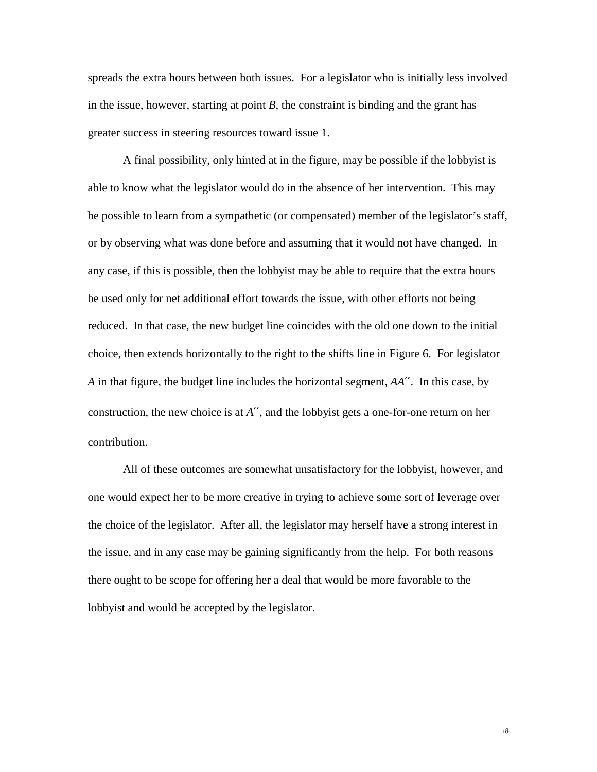spreads the extra hours between both issues. For a legislator who is initially less involved in the issue, however, starting at point *B*, the constraint is binding and the grant has greater success in steering resources toward issue 1.

A final possibility, only hinted at in the figure, may be possible if the lobbyist is able to know what the legislator would do in the absence of her intervention. This may be possible to learn from a sympathetic (or compensated) member of the legislator's staff, or by observing what was done before and assuming that it would not have changed. In any case, if this is possible, then the lobbyist may be able to require that the extra hours be used only for net additional effort towards the issue, with other efforts not being reduced. In that case, the new budget line coincides with the old one down to the initial choice, then extends horizontally to the right to the shifts line in Figure 6. For legislator *A* in that figure, the budget line includes the horizontal segment, *AA*′′. In this case, by construction, the new choice is at *A*′′, and the lobbyist gets a one-for-one return on her contribution.

All of these outcomes are somewhat unsatisfactory for the lobbyist, however, and one would expect her to be more creative in trying to achieve some sort of leverage over the choice of the legislator. After all, the legislator may herself have a strong interest in the issue, and in any case may be gaining significantly from the help. For both reasons there ought to be scope for offering her a deal that would be more favorable to the lobbyist and would be accepted by the legislator.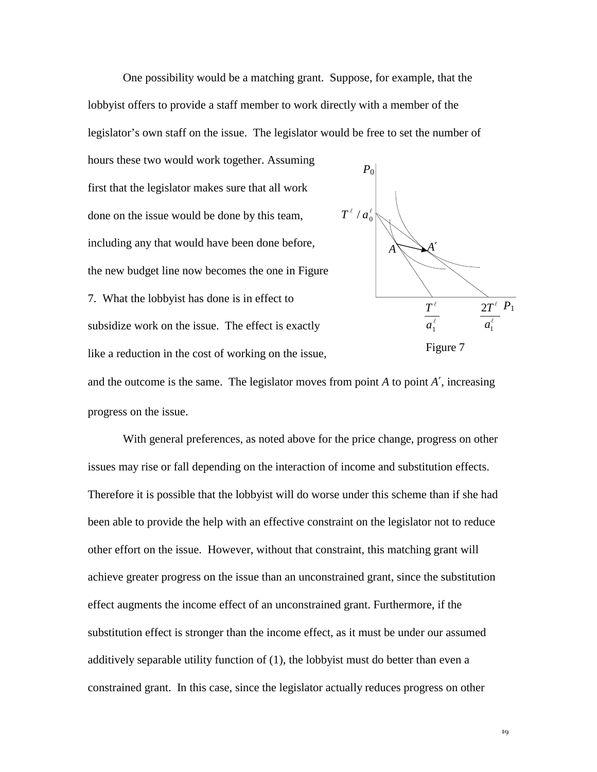One possibility would be a matching grant. Suppose, for example, that the lobbyist offers to provide a staff member to work directly with a member of the legislator's own staff on the issue. The legislator would be free to set the number of

hours these two would work together. Assuming first that the legislator makes sure that all work done on the issue would be done by this team, including any that would have been done before, the new budget line now becomes the one in Figure 7. What the lobbyist has done is in effect to subsidize work on the issue. The effect is exactly like a reduction in the cost of working on the issue,



and the outcome is the same. The legislator moves from point  $A$  to point  $A'$ , increasing progress on the issue.

With general preferences, as noted above for the price change, progress on other issues may rise or fall depending on the interaction of income and substitution effects. Therefore it is possible that the lobbyist will do worse under this scheme than if she had been able to provide the help with an effective constraint on the legislator not to reduce other effort on the issue. However, without that constraint, this matching grant will achieve greater progress on the issue than an unconstrained grant, since the substitution effect augments the income effect of an unconstrained grant. Furthermore, if the substitution effect is stronger than the income effect, as it must be under our assumed additively separable utility function of (1), the lobbyist must do better than even a constrained grant. In this case, since the legislator actually reduces progress on other

 $19$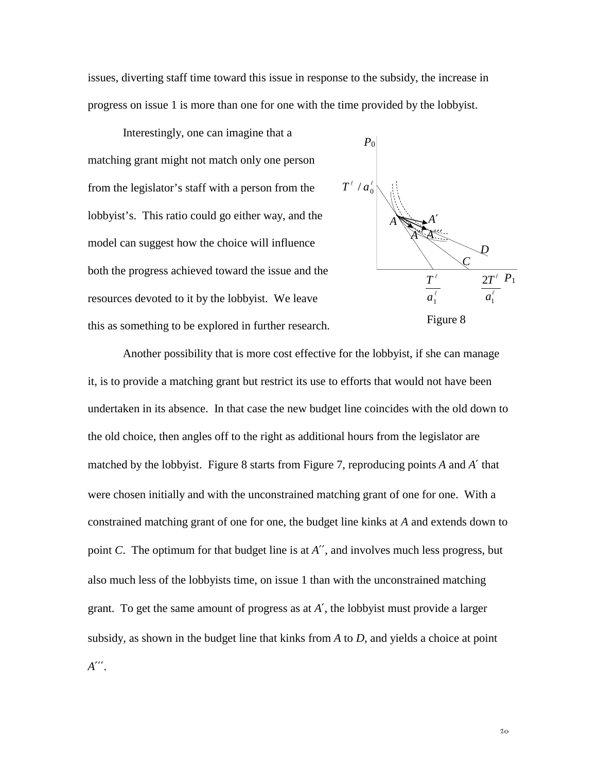issues, diverting staff time toward this issue in response to the subsidy, the increase in progress on issue 1 is more than one for one with the time provided by the lobbyist.

Interestingly, one can imagine that a matching grant might not match only one person from the legislator's staff with a person from the lobbyist's. This ratio could go either way, and the model can suggest how the choice will influence both the progress achieved toward the issue and the resources devoted to it by the lobbyist. We leave this as something to be explored in further research.



Another possibility that is more cost effective for the lobbyist, if she can manage it, is to provide a matching grant but restrict its use to efforts that would not have been undertaken in its absence. In that case the new budget line coincides with the old down to the old choice, then angles off to the right as additional hours from the legislator are matched by the lobbyist. Figure 8 starts from Figure 7, reproducing points *A* and *A*′ that were chosen initially and with the unconstrained matching grant of one for one. With a constrained matching grant of one for one, the budget line kinks at *A* and extends down to point *C*. The optimum for that budget line is at *A*′′, and involves much less progress, but also much less of the lobbyists time, on issue 1 than with the unconstrained matching grant. To get the same amount of progress as at *A*′, the lobbyist must provide a larger subsidy, as shown in the budget line that kinks from *A* to *D*, and yields a choice at point *A*′′′.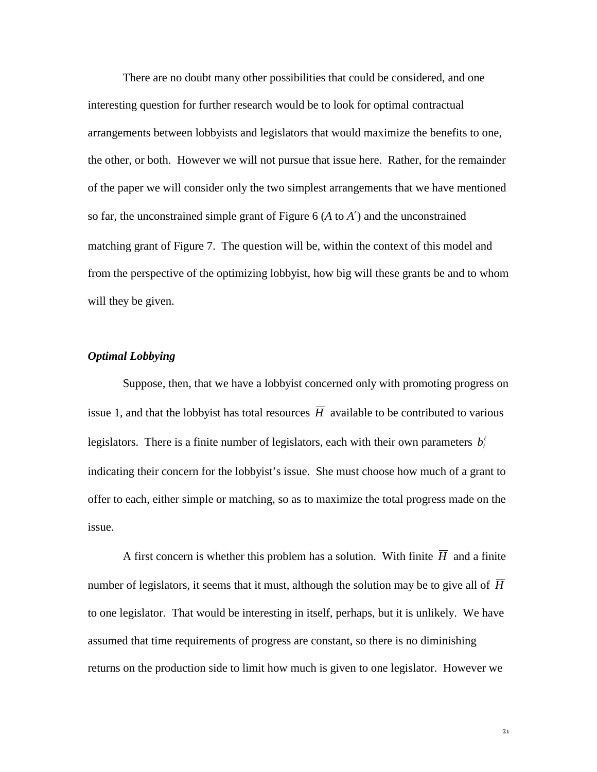There are no doubt many other possibilities that could be considered, and one interesting question for further research would be to look for optimal contractual arrangements between lobbyists and legislators that would maximize the benefits to one, the other, or both. However we will not pursue that issue here. Rather, for the remainder of the paper we will consider only the two simplest arrangements that we have mentioned so far, the unconstrained simple grant of Figure 6 (*A* to *A*′) and the unconstrained matching grant of Figure 7. The question will be, within the context of this model and from the perspective of the optimizing lobbyist, how big will these grants be and to whom will they be given.

#### *Optimal Lobbying*

Suppose, then, that we have a lobbyist concerned only with promoting progress on issue 1, and that the lobbyist has total resources  $\overline{H}$  available to be contributed to various legislators. There is a finite number of legislators, each with their own parameters  $b_i^{\ell}$ indicating their concern for the lobbyist's issue. She must choose how much of a grant to offer to each, either simple or matching, so as to maximize the total progress made on the issue.

A first concern is whether this problem has a solution. With finite  $\overline{H}$  and a finite number of legislators, it seems that it must, although the solution may be to give all of  $\overline{H}$ to one legislator. That would be interesting in itself, perhaps, but it is unlikely. We have assumed that time requirements of progress are constant, so there is no diminishing returns on the production side to limit how much is given to one legislator. However we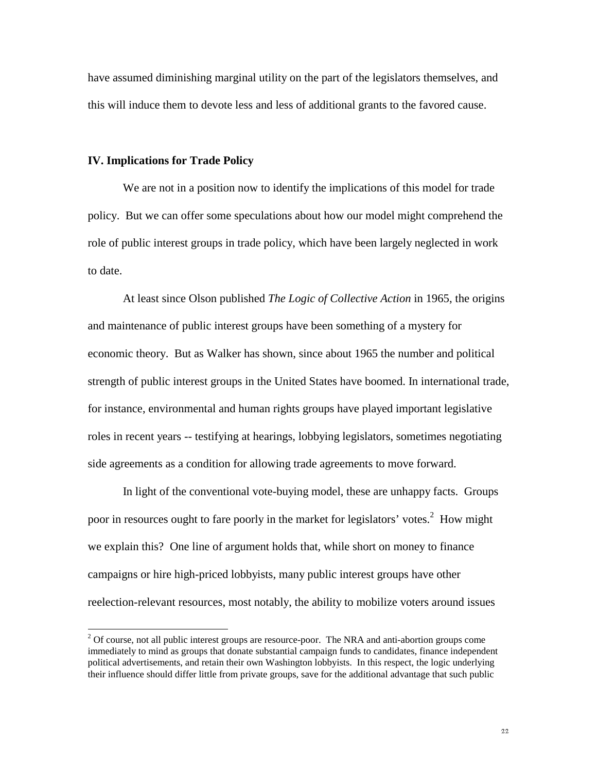have assumed diminishing marginal utility on the part of the legislators themselves, and this will induce them to devote less and less of additional grants to the favored cause.

#### **IV. Implications for Trade Policy**

 $\overline{a}$ 

We are not in a position now to identify the implications of this model for trade policy. But we can offer some speculations about how our model might comprehend the role of public interest groups in trade policy, which have been largely neglected in work to date.

At least since Olson published *The Logic of Collective Action* in 1965, the origins and maintenance of public interest groups have been something of a mystery for economic theory. But as Walker has shown, since about 1965 the number and political strength of public interest groups in the United States have boomed. In international trade, for instance, environmental and human rights groups have played important legislative roles in recent years -- testifying at hearings, lobbying legislators, sometimes negotiating side agreements as a condition for allowing trade agreements to move forward.

In light of the conventional vote-buying model, these are unhappy facts. Groups poor in resources ought to fare poorly in the market for legislators' votes.<sup>2</sup> How might we explain this? One line of argument holds that, while short on money to finance campaigns or hire high-priced lobbyists, many public interest groups have other reelection-relevant resources, most notably, the ability to mobilize voters around issues

 $2^{2}$  Of course, not all public interest groups are resource-poor. The NRA and anti-abortion groups come immediately to mind as groups that donate substantial campaign funds to candidates, finance independent political advertisements, and retain their own Washington lobbyists. In this respect, the logic underlying their influence should differ little from private groups, save for the additional advantage that such public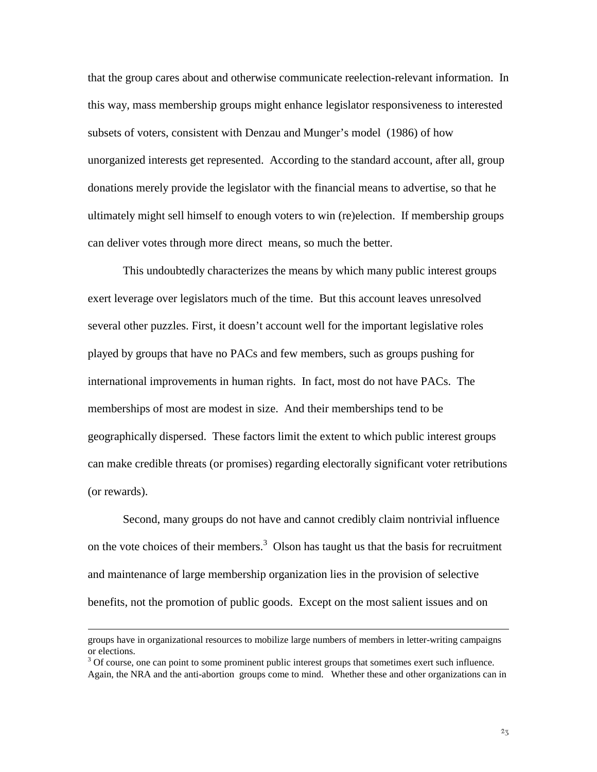that the group cares about and otherwise communicate reelection-relevant information. In this way, mass membership groups might enhance legislator responsiveness to interested subsets of voters, consistent with Denzau and Munger's model (1986) of how unorganized interests get represented. According to the standard account, after all, group donations merely provide the legislator with the financial means to advertise, so that he ultimately might sell himself to enough voters to win (re)election. If membership groups can deliver votes through more direct means, so much the better.

This undoubtedly characterizes the means by which many public interest groups exert leverage over legislators much of the time. But this account leaves unresolved several other puzzles. First, it doesn't account well for the important legislative roles played by groups that have no PACs and few members, such as groups pushing for international improvements in human rights. In fact, most do not have PACs. The memberships of most are modest in size. And their memberships tend to be geographically dispersed. These factors limit the extent to which public interest groups can make credible threats (or promises) regarding electorally significant voter retributions (or rewards).

Second, many groups do not have and cannot credibly claim nontrivial influence on the vote choices of their members.<sup>3</sup> Olson has taught us that the basis for recruitment and maintenance of large membership organization lies in the provision of selective benefits, not the promotion of public goods. Except on the most salient issues and on

 $\overline{a}$ 

groups have in organizational resources to mobilize large numbers of members in letter-writing campaigns or elections.

 $3$  Of course, one can point to some prominent public interest groups that sometimes exert such influence. Again, the NRA and the anti-abortion groups come to mind. Whether these and other organizations can in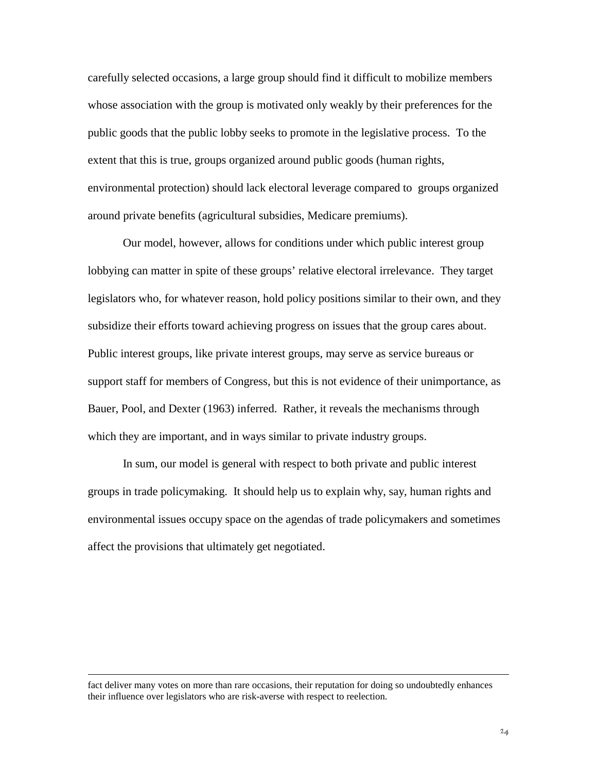carefully selected occasions, a large group should find it difficult to mobilize members whose association with the group is motivated only weakly by their preferences for the public goods that the public lobby seeks to promote in the legislative process. To the extent that this is true, groups organized around public goods (human rights, environmental protection) should lack electoral leverage compared to groups organized around private benefits (agricultural subsidies, Medicare premiums).

Our model, however, allows for conditions under which public interest group lobbying can matter in spite of these groups' relative electoral irrelevance. They target legislators who, for whatever reason, hold policy positions similar to their own, and they subsidize their efforts toward achieving progress on issues that the group cares about. Public interest groups, like private interest groups, may serve as service bureaus or support staff for members of Congress, but this is not evidence of their unimportance, as Bauer, Pool, and Dexter (1963) inferred. Rather, it reveals the mechanisms through which they are important, and in ways similar to private industry groups.

In sum, our model is general with respect to both private and public interest groups in trade policymaking. It should help us to explain why, say, human rights and environmental issues occupy space on the agendas of trade policymakers and sometimes affect the provisions that ultimately get negotiated.

 $\overline{a}$ 

fact deliver many votes on more than rare occasions, their reputation for doing so undoubtedly enhances their influence over legislators who are risk-averse with respect to reelection.